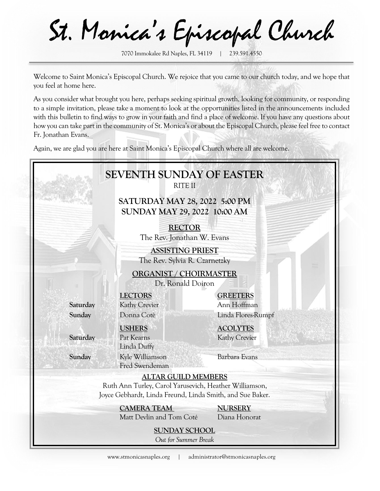St. Monica's Episcopal Church

Welcome to Saint Monica's Episcopal Church. We rejoice that you came to our church today, and we hope that you feel at home here.

As you consider what brought you here, perhaps seeking spiritual growth, looking for community, or responding to a simple invitation, please take a moment to look at the opportunities listed in the announcements included with this bulletin to find ways to grow in your faith and find a place of welcome. If you have any questions about how you can take part in the community of St. Monica's or about the Episcopal Church, please feel free to contact Fr. Jonathan Evans.

Again, we are glad you are here at Saint Monica's Episcopal Church where all are welcome.

|                                                                                                                     | <b>SEVENTH SUNDAY OF EASTER</b><br><b>RITE II</b> |                                         |  |  |
|---------------------------------------------------------------------------------------------------------------------|---------------------------------------------------|-----------------------------------------|--|--|
| SATURDAY MAY 28, 2022 5:00 PM<br>SUNDAY MAY 29, 2022 10:00 AM                                                       |                                                   |                                         |  |  |
| <b>RECTOR</b><br>The Rev. Jonathan W. Evans<br><b>ASSISTING PRIEST</b><br>The Rev. Sylvia R. Czarnetzky             |                                                   |                                         |  |  |
| ORGANIST / CHOIRMASTER<br>Dr. Ronald Doiron                                                                         |                                                   |                                         |  |  |
| Saturday                                                                                                            | <b>LECTORS</b><br>Kathy Crevier                   | <b>GREETERS</b><br>Ann Hoffman          |  |  |
| Sunday                                                                                                              | Donna Cotè                                        | Linda Flores-Rumpf                      |  |  |
| Saturday                                                                                                            | <b>USHERS</b><br>Pat Kearns<br>Linda Duffy        | <b>ACOLYTES</b><br><b>Kathy Crevier</b> |  |  |
| Sunday                                                                                                              | Kyle Williamson<br>Fred Swendeman                 | Barbara Evans                           |  |  |
|                                                                                                                     | <b>ALTAR GUILD MEMBERS</b>                        |                                         |  |  |
| Ruth Ann Turley, Carol Yarusevich, Heather Williamson,<br>Joyce Gebhardt, Linda Freund, Linda Smith, and Sue Baker. |                                                   |                                         |  |  |
|                                                                                                                     | <b>CAMERA TEAM</b><br>Matt Devlin and Tom Coté    | <b>NURSERY</b><br>Diana Honorat         |  |  |
| <b>SUNDAY SCHOOL</b><br>Out for Summer Break                                                                        |                                                   |                                         |  |  |

<sup>7070</sup> Immokalee Rd Naples, FL 34119 | 239.591.4550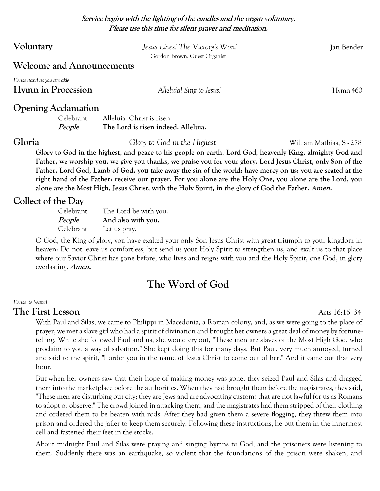**Service begins with the lighting of the candles and the organ voluntary. Please use this time for silent prayer and meditation.**

| Voluntary                                                 | Jesus Lives! The Victory's Won!<br>Gordon Brown, Guest Organist                                                                         | Jan Bender               |
|-----------------------------------------------------------|-----------------------------------------------------------------------------------------------------------------------------------------|--------------------------|
| <b>Welcome and Announcements</b>                          |                                                                                                                                         |                          |
| Please stand as you are able<br><b>Hymn in Procession</b> | Alleluia! Sing to Jesus!                                                                                                                | Hymn 460                 |
| <b>Opening Acclamation</b>                                |                                                                                                                                         |                          |
| Celebrant                                                 | Alleluia. Christ is risen.                                                                                                              |                          |
| People                                                    | The Lord is risen indeed. Alleluia.                                                                                                     |                          |
| Gloria                                                    | Glory to God in the Highest<br>Glory to God in the highest, and peace to his people on earth, Lord God, heavenly King, almighty God and | William Mathias, S - 278 |

**Glory to God in the highest, and peace to his people on earth. Lord God, heavenly King, almighty God and Father, we worship you, we give you thanks, we praise you for your glory. Lord Jesus Christ, only Son of the Father, Lord God, Lamb of God, you take away the sin of the world: have mercy on us; you are seated at the right hand of the Father: receive our prayer. For you alone are the Holy One, you alone are the Lord, you alone are the Most High, Jesus Christ, with the Holy Spirit, in the glory of God the Father. Amen.**

## **Collect of the Day**

Celebrant The Lord be with you. **People And also with you.** Celebrant Let us pray.

O God, the King of glory, you have exalted your only Son Jesus Christ with great triumph to your kingdom in heaven: Do not leave us comfortless, but send us your Holy Spirit to strengthen us, and exalt us to that place where our Savior Christ has gone before; who lives and reigns with you and the Holy Spirit, one God, in glory everlasting. **Amen.**

# **The Word of God**

#### *Please Be Seated*

## **The First Lesson** Acts 16:16–34

With Paul and Silas, we came to Philippi in Macedonia, a Roman colony, and, as we were going to the place of prayer, we met a slave girl who had a spirit of divination and brought her owners a great deal of money by fortunetelling. While she followed Paul and us, she would cry out, "These men are slaves of the Most High God, who proclaim to you a way of salvation." She kept doing this for many days. But Paul, very much annoyed, turned and said to the spirit, "I order you in the name of Jesus Christ to come out of her." And it came out that very hour.

But when her owners saw that their hope of making money was gone, they seized Paul and Silas and dragged them into the marketplace before the authorities. When they had brought them before the magistrates, they said, "These men are disturbing our city; they are Jews and are advocating customs that are not lawful for us as Romans to adopt or observe." The crowd joined in attacking them, and the magistrates had them stripped of their clothing and ordered them to be beaten with rods. After they had given them a severe flogging, they threw them into prison and ordered the jailer to keep them securely. Following these instructions, he put them in the innermost cell and fastened their feet in the stocks.

About midnight Paul and Silas were praying and singing hymns to God, and the prisoners were listening to them. Suddenly there was an earthquake, so violent that the foundations of the prison were shaken; and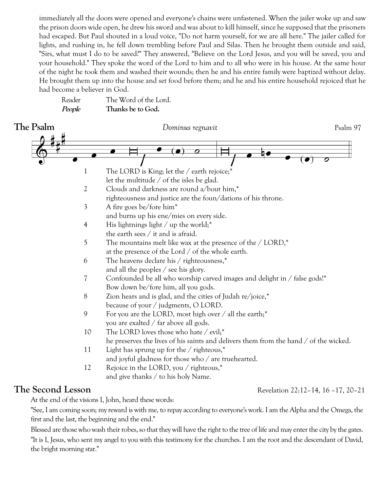immediately all the doors were opened and everyone's chains were unfastened. When the jailer woke up and saw the prison doors wide open, he drew his sword and was about to kill himself, since he supposed that the prisoners had escaped. But Paul shouted in a loud voice, "Do not harm yourself, for we are all here." The jailer called for lights, and rushing in, he fell down trembling before Paul and Silas. Then he brought them outside and said, "Sirs, what must I do to be saved?" They answered, "Believe on the Lord Jesus, and you will be saved, you and your household." They spoke the word of the Lord to him and to all who were in his house. At the same hour of the night he took them and washed their wounds; then he and his entire family were baptized without delay. He brought them up into the house and set food before them; and he and his entire household rejoiced that he had become a believer in God.

Reader The Word of the Lord. **People Thanks be to God.**



# **The Second Lesson Revelation 22:12-14, 16 -17, 20-21**

At the end of the visions I, John, heard these words:

"See, I am coming soon; my reward is with me, to repay according to everyone's work. I am the Alpha and the Omega, the first and the last, the beginning and the end."

Blessed are those who wash their robes, so that they will have the right to the tree of life and may enter the city by the gates. "It is I, Jesus, who sent my angel to you with this testimony for the churches. I am the root and the descendant of David, the bright morning star."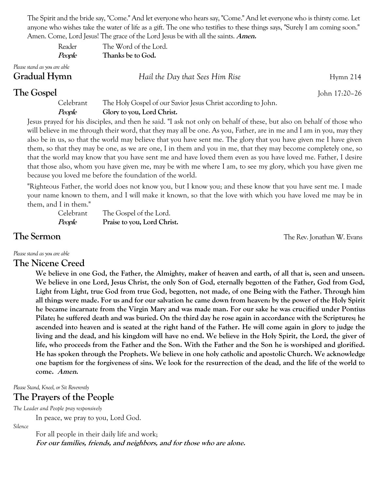The Spirit and the bride say, "Come." And let everyone who hears say, "Come." And let everyone who is thirsty come. Let anyone who wishes take the water of life as a gift. The one who testifies to these things says, "Surely I am coming soon." Amen. Come, Lord Jesus! The grace of the Lord Jesus be with all the saints. **Amen.**

| Reader                                              | The Word of the Lord.           |               |
|-----------------------------------------------------|---------------------------------|---------------|
| People                                              | Thanks be to God.               |               |
| Please stand as you are able<br><b>Gradual Hymn</b> | Hail the Day that Sees Him Rise | Hymn 214      |
| The Gospel                                          |                                 | John 17:20-26 |

Celebrant The Holy Gospel of our Savior Jesus Christ according to John.

### **People Glory to you, Lord Christ.**

Jesus prayed for his disciples, and then he said. "I ask not only on behalf of these, but also on behalf of those who will believe in me through their word, that they may all be one. As you, Father, are in me and I am in you, may they also be in us, so that the world may believe that you have sent me. The glory that you have given me I have given them, so that they may be one, as we are one, I in them and you in me, that they may become completely one, so that the world may know that you have sent me and have loved them even as you have loved me. Father, I desire that those also, whom you have given me, may be with me where I am, to see my glory, which you have given me because you loved me before the foundation of the world.

"Righteous Father, the world does not know you, but I know you; and these know that you have sent me. I made your name known to them, and I will make it known, so that the love with which you have loved me may be in them, and I in them."

Celebrant The Gospel of the Lord. **People Praise to you, Lord Christ.**

**The Sermon** The Rev. Jonathan W. Evans

*Please stand as you are able*

## **The Nicene Creed**

**We believe in one God, the Father, the Almighty, maker of heaven and earth, of all that is, seen and unseen. We believe in one Lord, Jesus Christ, the only Son of God, eternally begotten of the Father, God from God, Light from Light, true God from true God, begotten, not made, of one Being with the Father. Through him all things were made. For us and for our salvation he came down from heaven: by the power of the Holy Spirit he became incarnate from the Virgin Mary and was made man. For our sake he was crucified under Pontius Pilate; he suffered death and was buried. On the third day he rose again in accordance with the Scriptures; he ascended into heaven and is seated at the right hand of the Father. He will come again in glory to judge the living and the dead, and his kingdom will have no end. We believe in the Holy Spirit, the Lord, the giver of life, who proceeds from the Father and the Son. With the Father and the Son he is worshiped and glorified. He has spoken through the Prophets. We believe in one holy catholic and apostolic Church. We acknowledge one baptism for the forgiveness of sins. We look for the resurrection of the dead, and the life of the world to come. Amen.**

*Please Stand, Kneel,or Sit Reverently*

## **The Prayers of the People**

*The Leader and People pray responsively*

In peace, we pray to you, Lord God.

*Silence*

For all people in their daily life and work; **For our families, friends, and neighbors, and for those who are alone.**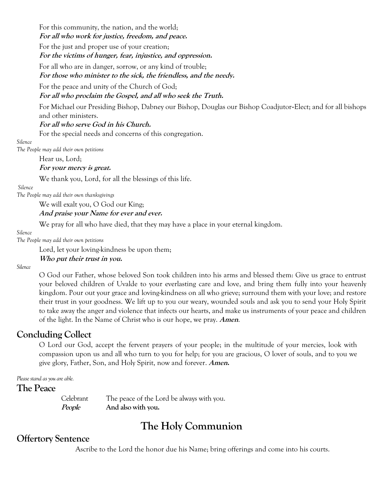For this community, the nation, and the world;

**For all who work for justice, freedom, and peace.**

For the just and proper use of your creation;

**For the victims of hunger, fear, injustice, and oppression.**

For all who are in danger, sorrow, or any kind of trouble; **For those who minister to the sick, the friendless, and the needy.**

For the peace and unity of the Church of God;

**For all who proclaim the Gospel, and all who seek the Truth.**

For Michael our Presiding Bishop, Dabney our Bishop, Douglas our Bishop Coadjutor-Elect; and for all bishops and other ministers.

### **For all who serve God in his Church.**

For the special needs and concerns of this congregation.

#### *Silence*

*The People may add their own petitions*

Hear us, Lord;

**For your mercy is great.**

We thank you, Lord, for all the blessings of this life.

#### *Silence*

*The People may add their own thanksgivings*

We will exalt you, O God our King; **And praise your Name for ever and ever.**

We pray for all who have died, that they may have a place in your eternal kingdom.

#### *Silence*

*The People may add their own petitions*

Lord, let your loving-kindness be upon them;

#### **Who put their trust in you.**

*Silence*

O God our Father, whose beloved Son took children into his arms and blessed them: Give us grace to entrust your beloved children of Uvalde to your everlasting care and love, and bring them fully into your heavenly kingdom. Pour out your grace and loving-kindness on all who grieve; surround them with your love; and restore their trust in your goodness. We lift up to you our weary, wounded souls and ask you to send your Holy Spirit to take away the anger and violence that infects our hearts, and make us instruments of your peace and children of the light. In the Name of Christ who is our hope, we pray. **Amen**.

# **Concluding Collect**

O Lord our God, accept the fervent prayers of your people; in the multitude of your mercies, look with compassion upon us and all who turn to you for help; for you are gracious, O lover of souls, and to you we give glory, Father, Son, and Holy Spirit, now and forever. **Amen.**

*Please stand as you are able.*

## **The Peace**

Celebrant The peace of the Lord be always with you. **People And also with you.**

# **The Holy Communion**

# **Offertory Sentence**

Ascribe to the Lord the honor due his Name; bring offerings and come into his courts.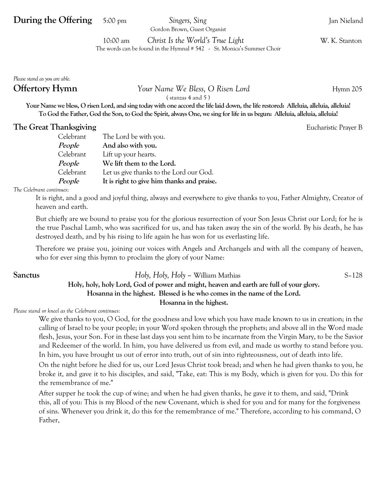**During the Offering** 5:00 pm *Singers, Sing* **Jan Nieland** Jan Nieland

Gordon Brown, Guest Organist

10:00 am *Christ Is the World's True Light* W. K. Stanton The words can be found in the Hymnal # 542 - St. Monica's Summer Choir

*Please stand as you are able.*

### **Offertory Hymn** *Your Name We Bless, O Risen Lord* Hymn 205

( stanzas 4 and 5 )

**Your Name we bless, O risen Lord, and sing today with one accord the life laid down, the life restored: Alleluia, alleluia, alleluia! To God the Father, God the Son, to God the Spirit, always One, we sing for life in us begun: Alleluia, alleluia, alleluia!**

## **The Great Thanksgiving** Eucharistic Prayer B

| Celebrant     | The Lord be with you.                      |
|---------------|--------------------------------------------|
| People        | And also with you.                         |
| Celebrant     | Lift up your hearts.                       |
| People        | We lift them to the Lord.                  |
| Celebrant     | Let us give thanks to the Lord our God.    |
| <i>People</i> | It is right to give him thanks and praise. |

*The Celebrant continues*:

It is right, and a good and joyful thing, always and everywhere to give thanks to you, Father Almighty, Creator of heaven and earth.

But chiefly are we bound to praise you for the glorious resurrection of your Son Jesus Christ our Lord; for he is the true Paschal Lamb, who was sacrificed for us, and has taken away the sin of the world. By his death, he has destroyed death, and by his rising to life again he has won for us everlasting life.

Therefore we praise you, joining our voices with Angels and Archangels and with all the company of heaven, who for ever sing this hymn to proclaim the glory of your Name:

**Sanctus** *Holy, Holy, Holy* – William Mathias S–128

## **Holy, holy, holy Lord, God of power and might, heaven and earth are full of your glory. Hosanna in the highest. Blessed is he who comes in the name of the Lord. Hosanna in the highest.**

*Please stand or kneel as the Celebrant continues:*

We give thanks to you, O God, for the goodness and love which you have made known to us in creation; in the calling of Israel to be your people; in your Word spoken through the prophets; and above all in the Word made flesh, Jesus, your Son. For in these last days you sent him to be incarnate from the Virgin Mary, to be the Savior and Redeemer of the world. In him, you have delivered us from evil, and made us worthy to stand before you. In him, you have brought us out of error into truth, out of sin into righteousness, out of death into life.

On the night before he died for us, our Lord Jesus Christ took bread; and when he had given thanks to you, he broke it, and gave it to his disciples, and said, "Take, eat: This is my Body, which is given for you. Do this for the remembrance of me."

After supper he took the cup of wine; and when he had given thanks, he gave it to them, and said, "Drink this, all of you: This is my Blood of the new Covenant, which is shed for you and for many for the forgiveness of sins. Whenever you drink it, do this for the remembrance of me." Therefore, according to his command, O Father,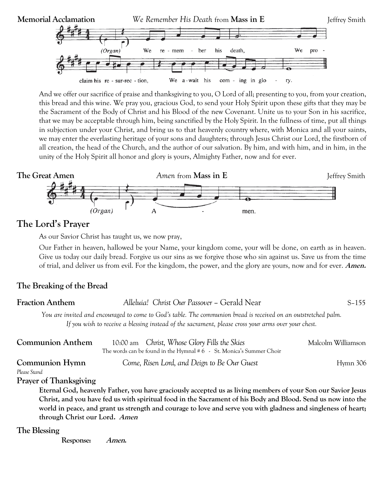

And we offer our sacrifice of praise and thanksgiving to you, O Lord of all; presenting to you, from your creation, this bread and this wine. We pray you, gracious God, to send your Holy Spirit upon these gifts that they may be the Sacrament of the Body of Christ and his Blood of the new Covenant. Unite us to your Son in his sacrifice, that we may be acceptable through him, being sanctified by the Holy Spirit. In the fullness of time, put all things in subjection under your Christ, and bring us to that heavenly country where, with Monica and all your saints, we may enter the everlasting heritage of your sons and daughters; through Jesus Christ our Lord, the firstborn of all creation, the head of the Church, and the author of our salvation. By him, and with him, and in him, in the unity of the Holy Spirit all honor and glory is yours, Almighty Father, now and for ever.



# **The Lord's Prayer**

As our Savior Christ has taught us, we now pray,

Our Father in heaven, hallowed be your Name, your kingdom come, your will be done, on earth as in heaven. Give us today our daily bread. Forgive us our sins as we forgive those who sin against us. Save us from the time of trial, and deliver us from evil. For the kingdom, the power, and the glory are yours, now and for ever. **Amen.**

# **The Breaking of the Bread**

## **Fraction Anthem** *Alleluia! Christ Our Passover* – Gerald Near S–155

*You are invited and encouraged to come to God's table. The communion bread is received on an outstretched palm. If you wish to receive a blessing instead of the sacrament, please cross your arms over your chest.*

| <b>Communion Anthem</b> | 10:00 am Christ, Whose Glory Fills the Skies                                    | Malcolm Williamson |
|-------------------------|---------------------------------------------------------------------------------|--------------------|
|                         | The words can be found in the Hymnal $#6 \rightarrow St.$ Monica's Summer Choir |                    |
| Communion Hymn          | Come, Risen Lord, and Deign to Be Our Guest                                     | Hymn 306           |
| Please Stand            |                                                                                 |                    |

# **Prayer of Thanksgiving**

**Eternal God, heavenly Father, you have graciously accepted us as living members of your Son our Savior Jesus Christ, and you have fed us with spiritual food in the Sacrament of his Body and Blood. Send us now into the world in peace, and grant us strength and courage to love and serve you with gladness and singleness of heart; through Christ our Lord. Amen** 

## **The Blessing**

**Response: Amen.**